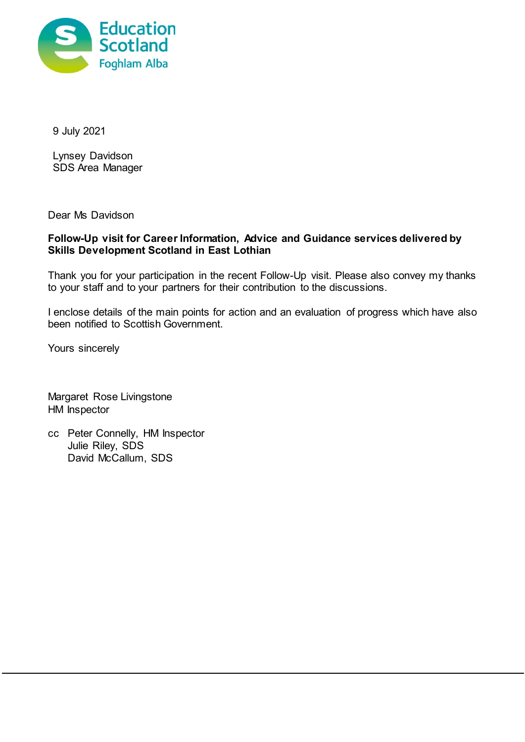

9 July 2021

Lynsey Davidson SDS Area Manager

Dear Ms Davidson

## **Follow-Up visit for Career Information, Advice and Guidance services delivered by Skills Development Scotland in East Lothian**

Thank you for your participation in the recent Follow-Up visit. Please also convey my thanks to your staff and to your partners for their contribution to the discussions.

I enclose details of the main points for action and an evaluation of progress which have also been notified to Scottish Government.

Yours sincerely

Margaret Rose Livingstone HM Inspector

cc Peter Connelly, HM Inspector Julie Riley, SDS David McCallum, SDS